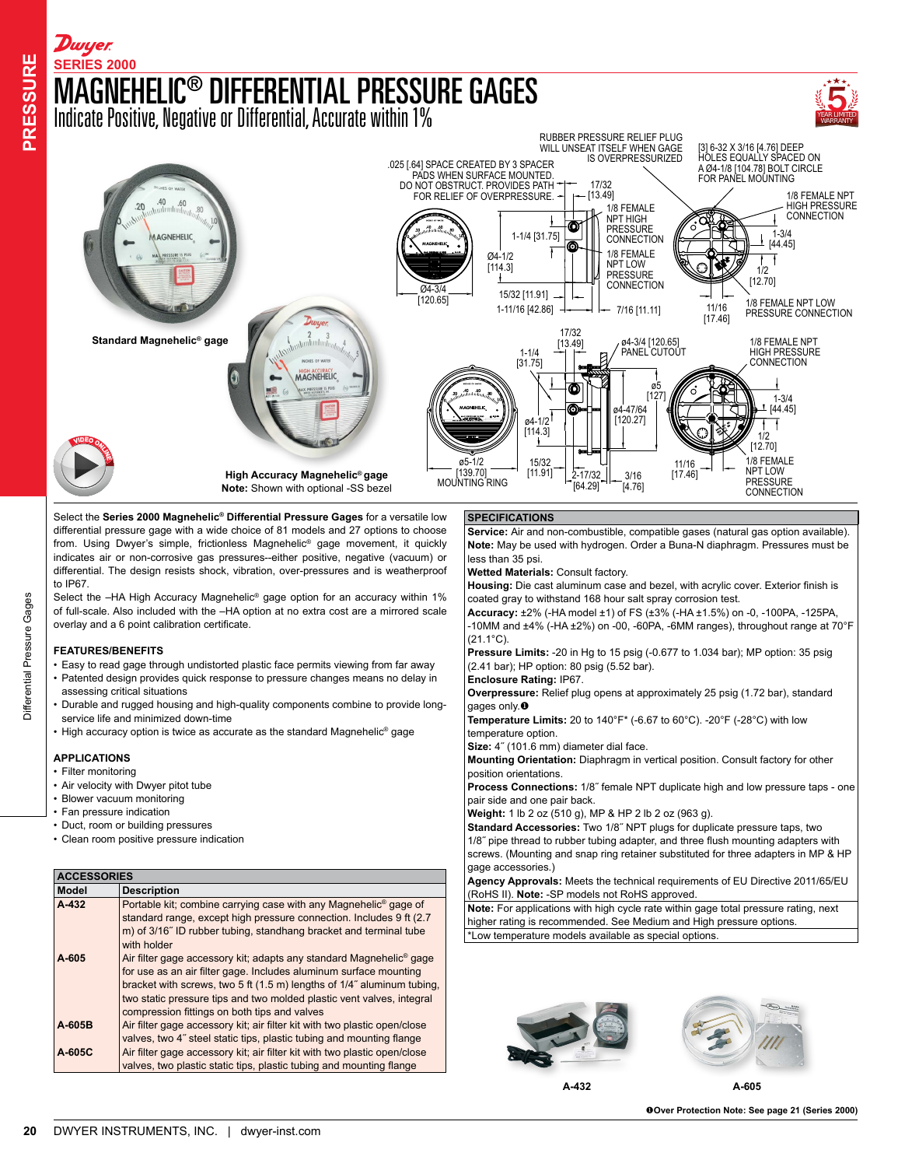

Select the **Series 2000 Magnehelic® Differential Pressure Gages** for a versatile low differential pressure gage with a wide choice of 81 models and 27 options to choose from. Using Dwyer's simple, frictionless Magnehelic® gage movement, it quickly indicates air or non-corrosive gas pressures--either positive, negative (vacuum) or differential. The design resists shock, vibration, over-pressures and is weatherproof to IP67.

Select the -HA High Accuracy Magnehelic<sup>®</sup> gage option for an accuracy within 1% of full-scale. Also included with the –HA option at no extra cost are a mirrored scale overlay and a 6 point calibration certificate.

## **FEATURES/BENEFITS**

- Easy to read gage through undistorted plastic face permits viewing from far away • Patented design provides quick response to pressure changes means no delay in assessing critical situations
- Durable and rugged housing and high-quality components combine to provide longservice life and minimized down-time
- High accuracy option is twice as accurate as the standard Magnehelic® gage

## **APPLICATIONS**

- Filter monitoring
- Air velocity with Dwyer pitot tube
- Blower vacuum monitoring
- Fan pressure indication
- Duct, room or building pressures
- Clean room positive pressure indication

| <b>ACCESSORIES</b> |                                                                                 |
|--------------------|---------------------------------------------------------------------------------|
| Model              | <b>Description</b>                                                              |
| A-432              | Portable kit; combine carrying case with any Magnehelic <sup>®</sup> gage of    |
|                    | standard range, except high pressure connection. Includes 9 ft (2.7)            |
|                    | m) of 3/16" ID rubber tubing, standhang bracket and terminal tube               |
|                    | with holder                                                                     |
| A-605              | Air filter gage accessory kit; adapts any standard Magnehelic <sup>®</sup> gage |
|                    | for use as an air filter gage. Includes aluminum surface mounting               |
|                    | bracket with screws, two 5 ft (1.5 m) lengths of 1/4" aluminum tubing,          |
|                    | two static pressure tips and two molded plastic vent valves, integral           |
|                    | compression fittings on both tips and valves                                    |
| A-605B             | Air filter gage accessory kit; air filter kit with two plastic open/close       |
|                    | valves, two 4" steel static tips, plastic tubing and mounting flange            |
| A-605C             | Air filter gage accessory kit; air filter kit with two plastic open/close       |
|                    | valves, two plastic static tips, plastic tubing and mounting flange             |

## **SPECIFICATIONS**

**Service:** Air and non-combustible, compatible gases (natural gas option available). **Note:** May be used with hydrogen. Order a Buna-N diaphragm. Pressures must be less than 35 psi.

**Wetted Materials:** Consult factory.

**Housing:** Die cast aluminum case and bezel, with acrylic cover. Exterior finish is coated gray to withstand 168 hour salt spray corrosion test.

**Accuracy:** ±2% (-HA model ±1) of FS (±3% (-HA ±1.5%) on -0, -100PA, -125PA, -10MM and ±4% (-HA ±2%) on -00, -60PA, -6MM ranges), throughout range at 70°F (21.1°C).

**Pressure Limits:** -20 in Hg to 15 psig (-0.677 to 1.034 bar); MP option: 35 psig (2.41 bar); HP option: 80 psig (5.52 bar).

**Enclosure Rating:** IP67.

**Overpressure:** Relief plug opens at approximately 25 psig (1.72 bar), standard gages only. $\bullet$ 

**Temperature Limits:** 20 to 140°F\* (-6.67 to 60°C). -20°F (-28°C) with low temperature option.

**Size:** 4˝ (101.6 mm) diameter dial face.

**Mounting Orientation:** Diaphragm in vertical position. Consult factory for other position orientations.

**Process Connections:** 1/8˝ female NPT duplicate high and low pressure taps - one pair side and one pair back.

**Weight:** 1 lb 2 oz (510 g), MP & HP 2 lb 2 oz (963 g).

**Standard Accessories:** Two 1/8˝ NPT plugs for duplicate pressure taps, two 1/8˝ pipe thread to rubber tubing adapter, and three flush mounting adapters with screws. (Mounting and snap ring retainer substituted for three adapters in MP & HP gage accessories.)

**Agency Approvals:** Meets the technical requirements of EU Directive 2011/65/EU (RoHS II). **Note:** -SP models not RoHS approved.

**Note:** For applications with high cycle rate within gage total pressure rating, next higher rating is recommended. See Medium and High pressure options. \*Low temperature models available as special options.





**A-432 A-605**

u**Over Protection Note: See page 21 (Series 2000)**

**RESSURE**